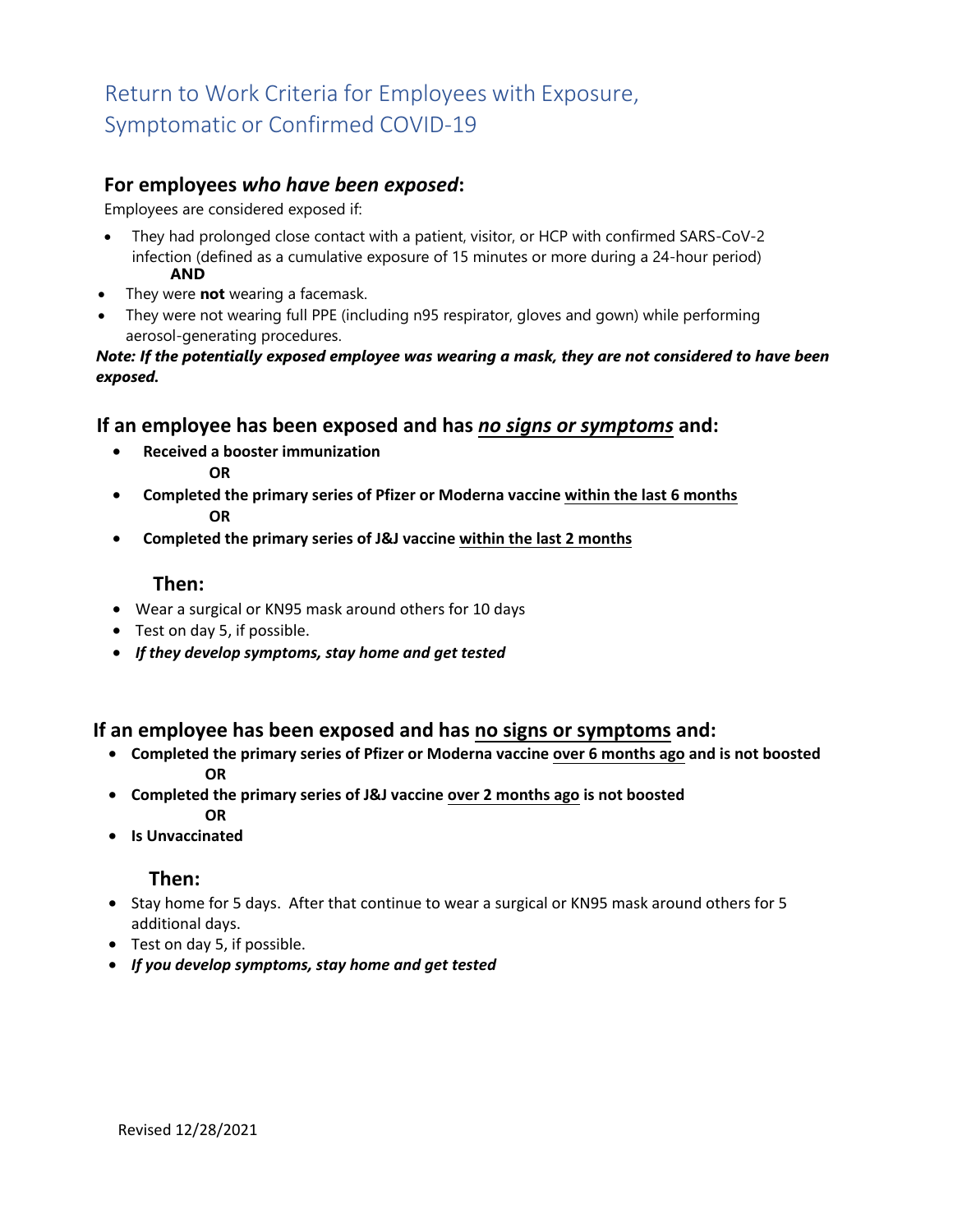# Return to Work Criteria for Employees with Exposure, Symptomatic or Confirmed COVID-19

### **For employees** *who have been exposed***:**

Employees are considered exposed if:

- They had prolonged close contact with a patient, visitor, or HCP with confirmed SARS-CoV-2 infection (defined as a cumulative exposure of 15 minutes or more during a 24-hour period) **AND**
- They were **not** wearing a facemask.
- They were not wearing full PPE (including n95 respirator, gloves and gown) while performing aerosol-generating procedures.

#### *Note: If the potentially exposed employee was wearing a mask, they are not considered to have been exposed.*

#### **If an employee has been exposed and has** *no signs or symptoms* **and:**

- **Received a booster immunization OR**
- **Completed the primary series of Pfizer or Moderna vaccine within the last 6 months OR**
- **Completed the primary series of J&J vaccine within the last 2 months**

#### **Then:**

- Wear a surgical or KN95 mask around others for 10 days
- Test on day 5, if possible.
- *If they develop symptoms, stay home and get tested*

#### **If an employee has been exposed and has no signs or symptoms and:**

- **Completed the primary series of Pfizer or Moderna vaccine over 6 months ago and is not boosted OR**
- **Completed the primary series of J&J vaccine over 2 months ago is not boosted OR**
- **Is Unvaccinated**

#### **Then:**

- Stay home for 5 days. After that continue to wear a surgical or KN95 mask around others for 5 additional days.
- Test on day 5, if possible.
- *If you develop symptoms, stay home and get tested*